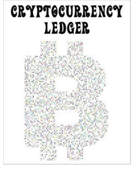## CRYPTOCURRENCY **LEDGER**

出错。 2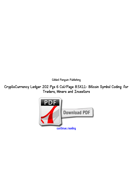*Gilded Penguin Publishing*

*CryptoCurrency Ledger 202 Pgs 6 Col/Page 8.5X11- Bitcoin Symbol Coding: for Traders, Miners and Investors*

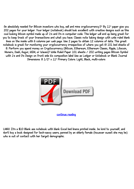*An absolutely needed for Bitcoin investors who buy, sell and mine cryptocurrency.5" By 11" paper give you 202 pages for your ledger. Your ledger (notebook) should look excellent with creative designs such as this cool looking bitcoin symbol made up of 1's and 0's in computer code. This ledger will end up being great for you to keep track of your transactions and what you have. Classic note taking design with wide ruled blank lines on the inside with 6 columns per web page. Use 2 pages to obtain 12 columns of data. This great notebook is great for monitoring your cryptocurrency irrespective of where you get it! 101 bed sheets of 8. Perform you spend money on Cryptocurrency (Bitcoin, Ethereum, Ethereum Classic, Ripple, Litecoin, Monero, Dash, Augur, NEM, or Waves)? Wide Ruled Paper 101 sheets / 202 writing pages Bitcoin Symbol with 1's and 0's Design on front side No composition label Use as Ledger or Notebook or Blank Journal Dimensions: 8 1/2" x 11" Primary Colors: Light, Black, multi-colors*



*[continue reading](http://bit.ly/2Tge8Fv)*

*LMAO It's a \$10 Blank ass notebook with blank Excel bed linens printed inside.. be kind to yourself, and don't buy a book designed for tech-savvy users, penned by an elderly female (however sweet she may be) who is out of contact with her target demographic.*